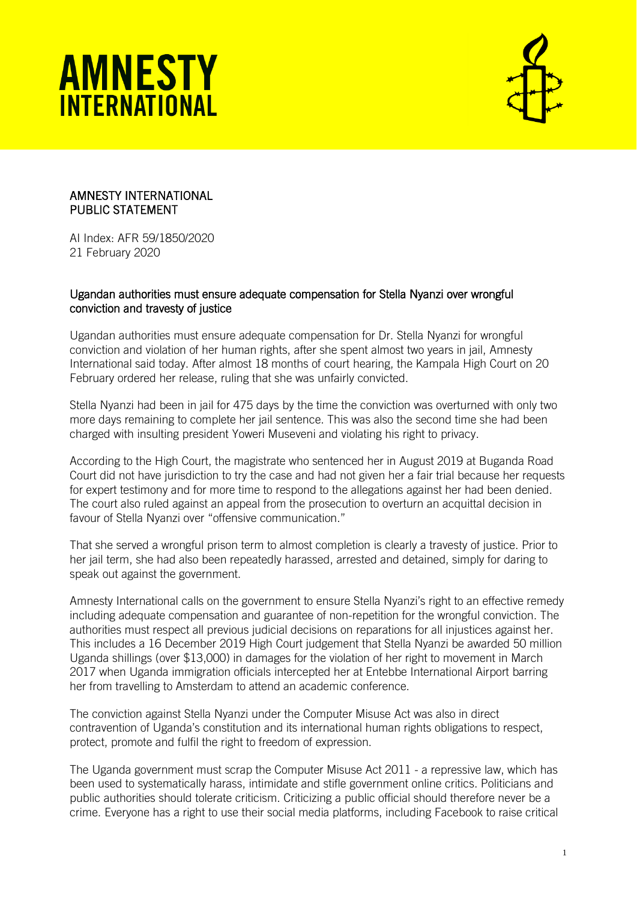



## AMNESTY INTERNATIONAL PUBLIC STATEMENT

AI Index: AFR 59/1850/2020 21 February 2020

## Ugandan authorities must ensure adequate compensation for Stella Nyanzi over wrongful conviction and travesty of justice

Ugandan authorities must ensure adequate compensation for Dr. Stella Nyanzi for wrongful conviction and violation of her human rights, after she spent almost two years in jail, Amnesty International said today. After almost 18 months of court hearing, the Kampala High Court on 20 February ordered her release, ruling that she was unfairly convicted.

Stella Nyanzi had been in jail for 475 days by the time the conviction was overturned with only two more days remaining to complete her jail sentence. This was also the second time she had been charged with insulting president Yoweri Museveni and violating his right to privacy.

According to the High Court, the magistrate who sentenced her in August 2019 at Buganda Road Court did not have jurisdiction to try the case and had not given her a fair trial because her requests for expert testimony and for more time to respond to the allegations against her had been denied. The court also ruled against an appeal from the prosecution to overturn an acquittal decision in favour of Stella Nyanzi over "offensive communication."

That she served a wrongful prison term to almost completion is clearly a travesty of justice. Prior to her jail term, she had also been repeatedly harassed, arrested and detained, simply for daring to speak out against the government.

Amnesty International calls on the government to ensure Stella Nyanzi's right to an effective remedy including adequate compensation and guarantee of non-repetition for the wrongful conviction. The authorities must respect all previous judicial decisions on reparations for all injustices against her. This includes a 16 December 2019 High Court judgement that Stella Nyanzi be awarded 50 million Uganda shillings (over \$13,000) in damages for the violation of her right to movement in March 2017 when Uganda immigration officials intercepted her at Entebbe International Airport barring her from travelling to Amsterdam to attend an academic conference.

The conviction against Stella Nyanzi under the Computer Misuse Act was also in direct contravention of Uganda's constitution and its international human rights obligations to respect, protect, promote and fulfil the right to freedom of expression.

The Uganda government must scrap the Computer Misuse Act 2011 - a repressive law, which has been used to systematically harass, intimidate and stifle government online critics. Politicians and public authorities should tolerate criticism. Criticizing a public official should therefore never be a crime. Everyone has a right to use their social media platforms, including Facebook to raise critical